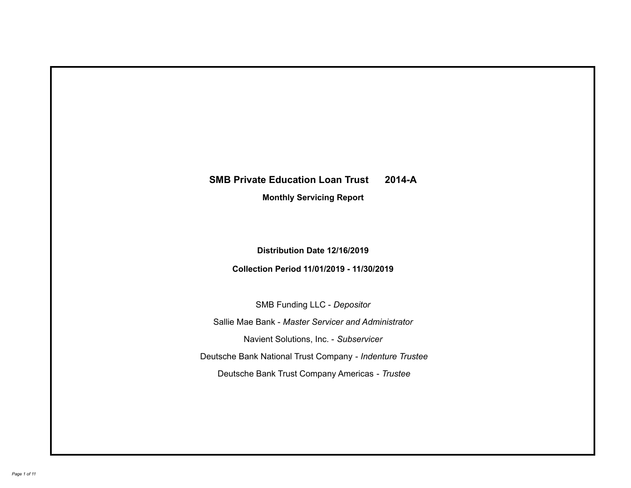# **SMB Private Education Loan Trust 2014-A Monthly Servicing Report**

## **Distribution Date 12/16/2019**

## **Collection Period 11/01/2019 - 11/30/2019**

SMB Funding LLC - *Depositor*

Sallie Mae Bank - *Master Servicer and Administrator*

Navient Solutions, Inc. - *Subservicer*

Deutsche Bank National Trust Company - *Indenture Trustee*

Deutsche Bank Trust Company Americas - *Trustee*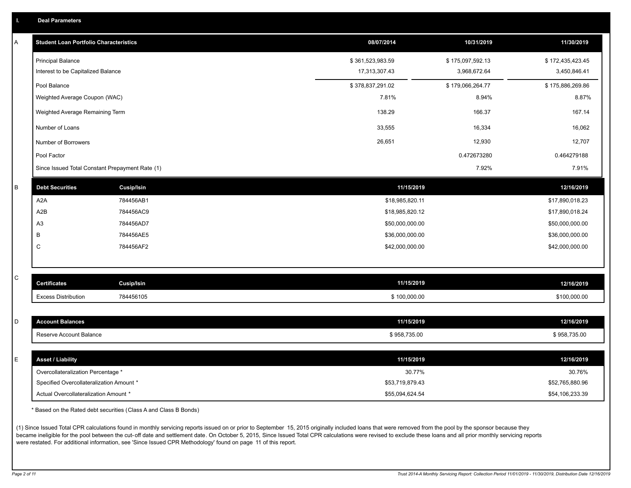|  |  |  |  | <b>Deal Parameters</b> |  |
|--|--|--|--|------------------------|--|
|--|--|--|--|------------------------|--|

| Α       | <b>Student Loan Portfolio Characteristics</b>   |                   | 08/07/2014       | 10/31/2019       | 11/30/2019       |
|---------|-------------------------------------------------|-------------------|------------------|------------------|------------------|
|         | <b>Principal Balance</b>                        |                   | \$361,523,983.59 | \$175,097,592.13 | \$172,435,423.45 |
|         | Interest to be Capitalized Balance              |                   | 17,313,307.43    | 3,968,672.64     | 3,450,846.41     |
|         | Pool Balance                                    |                   | \$378,837,291.02 | \$179,066,264.77 | \$175,886,269.86 |
|         | Weighted Average Coupon (WAC)                   |                   | 7.81%            | 8.94%            | 8.87%            |
|         | Weighted Average Remaining Term                 |                   | 138.29           | 166.37           | 167.14           |
|         | Number of Loans                                 |                   | 33,555           | 16,334           | 16,062           |
|         | Number of Borrowers                             |                   | 26,651           | 12,930           | 12,707           |
|         | Pool Factor                                     |                   |                  | 0.472673280      | 0.464279188      |
|         | Since Issued Total Constant Prepayment Rate (1) |                   |                  | 7.92%            | 7.91%            |
| $\sf B$ | <b>Debt Securities</b>                          | <b>Cusip/Isin</b> | 11/15/2019       |                  | 12/16/2019       |
|         | A <sub>2</sub> A                                | 784456AB1         | \$18,985,820.11  |                  | \$17,890,018.23  |
|         | A <sub>2</sub> B                                | 784456AC9         | \$18,985,820.12  |                  | \$17,890,018.24  |
|         | A3                                              | 784456AD7         | \$50,000,000.00  |                  | \$50,000,000.00  |
|         | B                                               | 784456AE5         | \$36,000,000.00  |                  | \$36,000,000.00  |
|         | C                                               | 784456AF2         | \$42,000,000.00  |                  | \$42,000,000.00  |
|         |                                                 |                   |                  |                  |                  |
| C       | <b>Certificates</b>                             | <b>Cusip/Isin</b> | 11/15/2019       |                  | 12/16/2019       |
|         | <b>Excess Distribution</b>                      | 784456105         | \$100,000.00     |                  | \$100,000.00     |
|         |                                                 |                   |                  |                  |                  |
| D       | <b>Account Balances</b>                         |                   | 11/15/2019       |                  | 12/16/2019       |
|         | Reserve Account Balance                         |                   | \$958,735.00     |                  | \$958,735.00     |
|         |                                                 |                   |                  |                  |                  |
| Ε       | <b>Asset / Liability</b>                        |                   | 11/15/2019       |                  | 12/16/2019       |
|         | Overcollateralization Percentage *              |                   | 30.77%           |                  | 30.76%           |
|         | Specified Overcollateralization Amount *        |                   | \$53,719,879.43  |                  | \$52,765,880.96  |
|         | Actual Overcollateralization Amount *           |                   | \$55,094,624.54  |                  | \$54,106,233.39  |

\* Based on the Rated debt securities (Class A and Class B Bonds)

(1) Since Issued Total CPR calculations found in monthly servicing reports issued on or prior to September 15, 2015 originally included loans that were removed from the pool by the sponsor because they became ineligible for the pool between the cut-off date and settlement date. On October 5, 2015, Since Issued Total CPR calculations were revised to exclude these loans and all prior monthly servicing reports were restated. For additional information, see 'Since Issued CPR Methodology' found on page 11 of this report.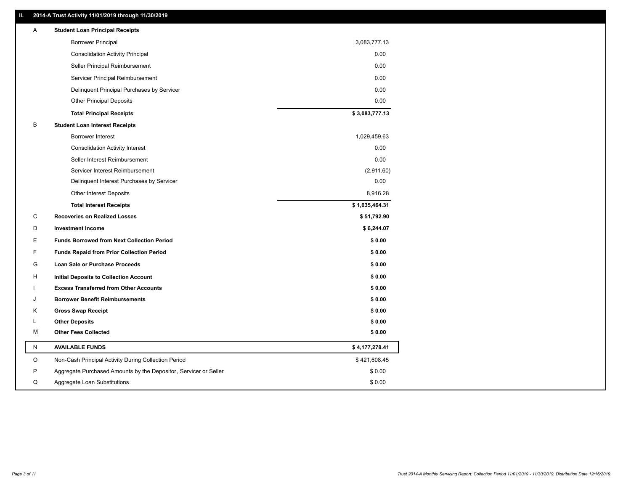#### **II. 2014-A Trust Activity 11/01/2019 through 11/30/2019**

| Α | <b>Student Loan Principal Receipts</b>                           |                |  |
|---|------------------------------------------------------------------|----------------|--|
|   | <b>Borrower Principal</b>                                        | 3,083,777.13   |  |
|   | <b>Consolidation Activity Principal</b>                          | 0.00           |  |
|   | Seller Principal Reimbursement                                   | 0.00           |  |
|   | Servicer Principal Reimbursement                                 | 0.00           |  |
|   | Delinquent Principal Purchases by Servicer                       | 0.00           |  |
|   | <b>Other Principal Deposits</b>                                  | 0.00           |  |
|   | <b>Total Principal Receipts</b>                                  | \$3,083,777.13 |  |
| В | <b>Student Loan Interest Receipts</b>                            |                |  |
|   | <b>Borrower Interest</b>                                         | 1,029,459.63   |  |
|   | <b>Consolidation Activity Interest</b>                           | 0.00           |  |
|   | Seller Interest Reimbursement                                    | 0.00           |  |
|   | Servicer Interest Reimbursement                                  | (2,911.60)     |  |
|   | Delinquent Interest Purchases by Servicer                        | 0.00           |  |
|   | <b>Other Interest Deposits</b>                                   | 8,916.28       |  |
|   | <b>Total Interest Receipts</b>                                   | \$1,035,464.31 |  |
| С | <b>Recoveries on Realized Losses</b>                             | \$51,792.90    |  |
| D | <b>Investment Income</b>                                         | \$6,244.07     |  |
| Е | <b>Funds Borrowed from Next Collection Period</b>                | \$0.00         |  |
| F | <b>Funds Repaid from Prior Collection Period</b>                 | \$0.00         |  |
| G | Loan Sale or Purchase Proceeds                                   | \$0.00         |  |
| н | Initial Deposits to Collection Account                           | \$0.00         |  |
|   | <b>Excess Transferred from Other Accounts</b>                    | \$0.00         |  |
| J | <b>Borrower Benefit Reimbursements</b>                           | \$0.00         |  |
| Κ | <b>Gross Swap Receipt</b>                                        | \$0.00         |  |
| L | <b>Other Deposits</b>                                            | \$0.00         |  |
| М | <b>Other Fees Collected</b>                                      | \$0.00         |  |
| N | <b>AVAILABLE FUNDS</b>                                           | \$4,177,278.41 |  |
| O | Non-Cash Principal Activity During Collection Period             | \$421,608.45   |  |
| P | Aggregate Purchased Amounts by the Depositor, Servicer or Seller | \$0.00         |  |
| Q | Aggregate Loan Substitutions                                     | \$0.00         |  |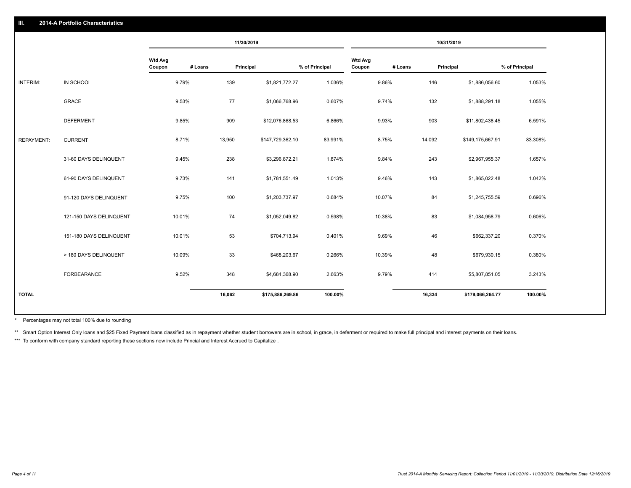|                   |                         |                          |         | 11/30/2019 |                  |                |                          |         | 10/31/2019 |                  |                |
|-------------------|-------------------------|--------------------------|---------|------------|------------------|----------------|--------------------------|---------|------------|------------------|----------------|
|                   |                         | <b>Wtd Avg</b><br>Coupon | # Loans | Principal  |                  | % of Principal | <b>Wtd Avg</b><br>Coupon | # Loans | Principal  |                  | % of Principal |
| INTERIM:          | IN SCHOOL               | 9.79%                    |         | 139        | \$1,821,772.27   | 1.036%         |                          | 9.86%   | 146        | \$1,886,056.60   | 1.053%         |
|                   | GRACE                   | 9.53%                    |         | 77         | \$1,066,768.96   | 0.607%         |                          | 9.74%   | 132        | \$1,888,291.18   | 1.055%         |
|                   | <b>DEFERMENT</b>        | 9.85%                    |         | 909        | \$12,076,868.53  | 6.866%         |                          | 9.93%   | 903        | \$11,802,438.45  | 6.591%         |
| <b>REPAYMENT:</b> | <b>CURRENT</b>          | 8.71%                    |         | 13,950     | \$147,729,362.10 | 83.991%        |                          | 8.75%   | 14,092     | \$149,175,667.91 | 83.308%        |
|                   | 31-60 DAYS DELINQUENT   | 9.45%                    |         | 238        | \$3,296,872.21   | 1.874%         |                          | 9.84%   | 243        | \$2,967,955.37   | 1.657%         |
|                   | 61-90 DAYS DELINQUENT   | 9.73%                    |         | 141        | \$1,781,551.49   | 1.013%         |                          | 9.46%   | 143        | \$1,865,022.48   | 1.042%         |
|                   | 91-120 DAYS DELINQUENT  | 9.75%                    |         | 100        | \$1,203,737.97   | 0.684%         |                          | 10.07%  | 84         | \$1,245,755.59   | 0.696%         |
|                   | 121-150 DAYS DELINQUENT | 10.01%                   |         | 74         | \$1,052,049.82   | 0.598%         |                          | 10.38%  | 83         | \$1,084,958.79   | 0.606%         |
|                   | 151-180 DAYS DELINQUENT | 10.01%                   |         | 53         | \$704,713.94     | 0.401%         |                          | 9.69%   | 46         | \$662,337.20     | 0.370%         |
|                   | > 180 DAYS DELINQUENT   | 10.09%                   |         | 33         | \$468,203.67     | 0.266%         |                          | 10.39%  | 48         | \$679,930.15     | 0.380%         |
|                   | <b>FORBEARANCE</b>      | 9.52%                    |         | 348        | \$4,684,368.90   | 2.663%         |                          | 9.79%   | 414        | \$5,807,851.05   | 3.243%         |
| <b>TOTAL</b>      |                         |                          |         | 16,062     | \$175,886,269.86 | 100.00%        |                          |         | 16,334     | \$179,066,264.77 | 100.00%        |
|                   |                         |                          |         |            |                  |                |                          |         |            |                  |                |

Percentages may not total 100% due to rounding \*

\*\* Smart Option Interest Only loans and \$25 Fixed Payment loans classified as in repayment whether student borrowers are in school, in grace, in deferment or required to make full principal and interest payments on their l

\*\*\* To conform with company standard reporting these sections now include Princial and Interest Accrued to Capitalize.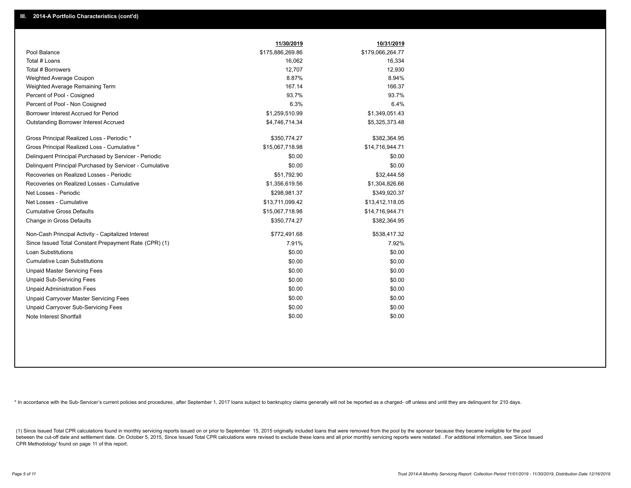|                                                         | 11/30/2019       | 10/31/2019       |
|---------------------------------------------------------|------------------|------------------|
| Pool Balance                                            | \$175,886,269.86 | \$179,066,264.77 |
| Total # Loans                                           | 16,062           | 16,334           |
| Total # Borrowers                                       | 12,707           | 12,930           |
| Weighted Average Coupon                                 | 8.87%            | 8.94%            |
| Weighted Average Remaining Term                         | 167.14           | 166.37           |
| Percent of Pool - Cosigned                              | 93.7%            | 93.7%            |
| Percent of Pool - Non Cosigned                          | 6.3%             | 6.4%             |
| Borrower Interest Accrued for Period                    | \$1,259,510.99   | \$1,349,051.43   |
| Outstanding Borrower Interest Accrued                   | \$4,746,714.34   | \$5,325,373.48   |
| Gross Principal Realized Loss - Periodic *              | \$350,774.27     | \$382,364.95     |
| Gross Principal Realized Loss - Cumulative *            | \$15,067,718.98  | \$14,716,944.71  |
| Delinguent Principal Purchased by Servicer - Periodic   | \$0.00           | \$0.00           |
| Delinquent Principal Purchased by Servicer - Cumulative | \$0.00           | \$0.00           |
| Recoveries on Realized Losses - Periodic                | \$51,792.90      | \$32,444.58      |
| Recoveries on Realized Losses - Cumulative              | \$1,356,619.56   | \$1,304,826.66   |
| Net Losses - Periodic                                   | \$298,981.37     | \$349,920.37     |
| Net Losses - Cumulative                                 | \$13,711,099.42  | \$13,412,118.05  |
| <b>Cumulative Gross Defaults</b>                        | \$15,067,718.98  | \$14,716,944.71  |
| Change in Gross Defaults                                | \$350,774.27     | \$382,364.95     |
| Non-Cash Principal Activity - Capitalized Interest      | \$772,491.68     | \$538,417.32     |
| Since Issued Total Constant Prepayment Rate (CPR) (1)   | 7.91%            | 7.92%            |
| Loan Substitutions                                      | \$0.00           | \$0.00           |
| <b>Cumulative Loan Substitutions</b>                    | \$0.00           | \$0.00           |
| <b>Unpaid Master Servicing Fees</b>                     | \$0.00           | \$0.00           |
| <b>Unpaid Sub-Servicing Fees</b>                        | \$0.00           | \$0.00           |
| <b>Unpaid Administration Fees</b>                       | \$0.00           | \$0.00           |
| Unpaid Carryover Master Servicing Fees                  | \$0.00           | \$0.00           |
| Unpaid Carryover Sub-Servicing Fees                     | \$0.00           | \$0.00           |
| Note Interest Shortfall                                 | \$0.00           | \$0.00           |

\* In accordance with the Sub-Servicer's current policies and procedures, after September 1, 2017 loans subject to bankruptcy claims generally will not be reported as a charged- off unless and until they are delinquent for

(1) Since Issued Total CPR calculations found in monthly servicing reports issued on or prior to September 15, 2015 originally included loans that were removed from the pool by the sponsor because they became ineligible fo between the cut-off date and settlement date. On October 5, 2015, Since Issued Total CPR calculations were revised to exclude these loans and all prior monthly servicing reports were restated. For additional information, s CPR Methodology' found on page 11 of this report.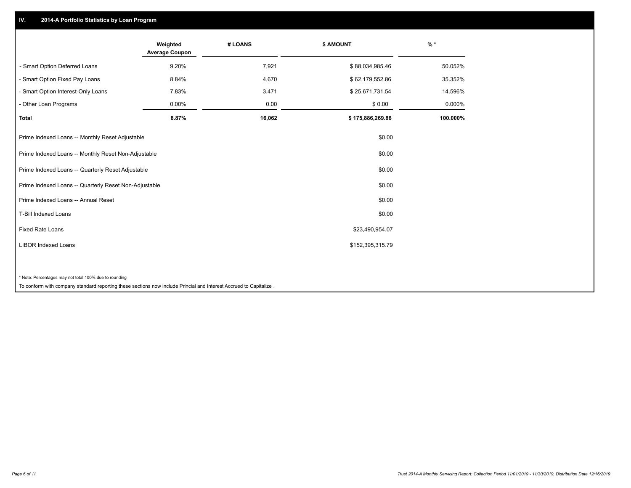#### **IV. 2014-A Portfolio Statistics by Loan Program**

|                                                        | Weighted<br><b>Average Coupon</b> | # LOANS | <b>\$ AMOUNT</b> | $\frac{9}{6}$ * |
|--------------------------------------------------------|-----------------------------------|---------|------------------|-----------------|
| - Smart Option Deferred Loans                          | 9.20%                             | 7,921   | \$88,034,985.46  | 50.052%         |
| - Smart Option Fixed Pay Loans                         | 8.84%                             | 4,670   | \$62,179,552.86  | 35.352%         |
| - Smart Option Interest-Only Loans                     | 7.83%                             | 3,471   | \$25,671,731.54  | 14.596%         |
| - Other Loan Programs                                  | 0.00%                             | 0.00    | \$0.00           | 0.000%          |
| <b>Total</b>                                           | 8.87%                             | 16,062  | \$175,886,269.86 | 100.000%        |
| Prime Indexed Loans -- Monthly Reset Adjustable        |                                   |         | \$0.00           |                 |
| Prime Indexed Loans -- Monthly Reset Non-Adjustable    |                                   |         | \$0.00           |                 |
| Prime Indexed Loans -- Quarterly Reset Adjustable      |                                   |         | \$0.00           |                 |
| Prime Indexed Loans -- Quarterly Reset Non-Adjustable  |                                   |         | \$0.00           |                 |
| Prime Indexed Loans -- Annual Reset                    |                                   |         | \$0.00           |                 |
| <b>T-Bill Indexed Loans</b>                            |                                   |         | \$0.00           |                 |
| <b>Fixed Rate Loans</b>                                |                                   |         | \$23,490,954.07  |                 |
| <b>LIBOR Indexed Loans</b>                             |                                   |         | \$152,395,315.79 |                 |
|                                                        |                                   |         |                  |                 |
| * Note: Percentages may not total 100% due to rounding |                                   |         |                  |                 |

To conform with company standard reporting these sections now include Princial and Interest Accrued to Capitalize .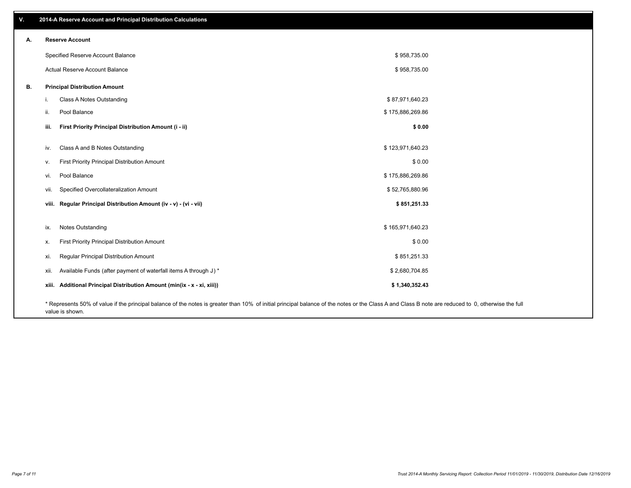| V. | 2014-A Reserve Account and Principal Distribution Calculations                                                                                                                                     |                  |  |
|----|----------------------------------------------------------------------------------------------------------------------------------------------------------------------------------------------------|------------------|--|
| А. | <b>Reserve Account</b>                                                                                                                                                                             |                  |  |
|    | Specified Reserve Account Balance                                                                                                                                                                  | \$958,735.00     |  |
|    | Actual Reserve Account Balance                                                                                                                                                                     | \$958,735.00     |  |
| В. | <b>Principal Distribution Amount</b>                                                                                                                                                               |                  |  |
|    | Class A Notes Outstanding<br>j.                                                                                                                                                                    | \$87,971,640.23  |  |
|    | Pool Balance<br>ii.                                                                                                                                                                                | \$175,886,269.86 |  |
|    | First Priority Principal Distribution Amount (i - ii)<br>iii.                                                                                                                                      | \$0.00           |  |
|    | Class A and B Notes Outstanding<br>iv.                                                                                                                                                             | \$123,971,640.23 |  |
|    | First Priority Principal Distribution Amount<br>V.                                                                                                                                                 | \$0.00           |  |
|    | Pool Balance<br>vi.                                                                                                                                                                                | \$175,886,269.86 |  |
|    | Specified Overcollateralization Amount<br>vii.                                                                                                                                                     | \$52,765,880.96  |  |
|    | viii. Regular Principal Distribution Amount (iv - v) - (vi - vii)                                                                                                                                  | \$851,251.33     |  |
|    | Notes Outstanding                                                                                                                                                                                  | \$165,971,640.23 |  |
|    | ix.                                                                                                                                                                                                |                  |  |
|    | First Priority Principal Distribution Amount<br>Х.                                                                                                                                                 | \$0.00           |  |
|    | Regular Principal Distribution Amount<br>xi.                                                                                                                                                       | \$851,251.33     |  |
|    | Available Funds (after payment of waterfall items A through J) *<br>xii.                                                                                                                           | \$2,680,704.85   |  |
|    | xiii. Additional Principal Distribution Amount (min(ix - x - xi, xiii))                                                                                                                            | \$1,340,352.43   |  |
|    | * Represents 50% of value if the principal balance of the notes is greater than 10% of initial principal balance of the notes or the Class A and Class B note are reduced to 0, otherwise the full |                  |  |

value is shown.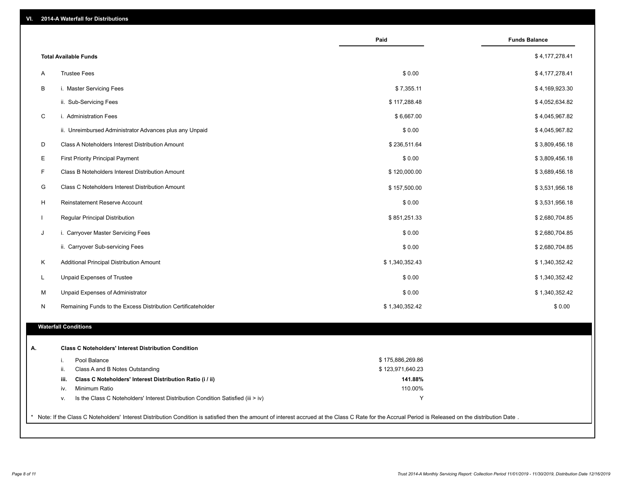|                                                                                        | Paid             | <b>Funds Balance</b> |
|----------------------------------------------------------------------------------------|------------------|----------------------|
| <b>Total Available Funds</b>                                                           |                  | \$4,177,278.41       |
| <b>Trustee Fees</b><br>A                                                               | \$0.00           | \$4,177,278.41       |
| В<br>i. Master Servicing Fees                                                          | \$7,355.11       | \$4,169,923.30       |
| ii. Sub-Servicing Fees                                                                 | \$117,288.48     | \$4,052,634.82       |
| $\mathsf C$<br>i. Administration Fees                                                  | \$6,667.00       | \$4,045,967.82       |
| ii. Unreimbursed Administrator Advances plus any Unpaid                                | \$0.00           | \$4,045,967.82       |
| D<br>Class A Noteholders Interest Distribution Amount                                  | \$236,511.64     | \$3,809,456.18       |
| Е<br><b>First Priority Principal Payment</b>                                           | \$0.00           | \$3,809,456.18       |
| F<br>Class B Noteholders Interest Distribution Amount                                  | \$120,000.00     | \$3,689,456.18       |
| G<br>Class C Noteholders Interest Distribution Amount                                  | \$157,500.00     | \$3,531,956.18       |
| H<br>Reinstatement Reserve Account                                                     | \$0.00           | \$3,531,956.18       |
| Regular Principal Distribution<br>$\mathbf{I}$                                         | \$851,251.33     | \$2,680,704.85       |
| J<br>i. Carryover Master Servicing Fees                                                | \$0.00           | \$2,680,704.85       |
| ii. Carryover Sub-servicing Fees                                                       | \$0.00           | \$2,680,704.85       |
| Κ<br>Additional Principal Distribution Amount                                          | \$1,340,352.43   | \$1,340,352.42       |
| Unpaid Expenses of Trustee<br>L                                                        | \$0.00           | \$1,340,352.42       |
| M<br>Unpaid Expenses of Administrator                                                  | \$0.00           | \$1,340,352.42       |
| N<br>Remaining Funds to the Excess Distribution Certificateholder                      | \$1,340,352.42   | \$0.00               |
| <b>Waterfall Conditions</b>                                                            |                  |                      |
|                                                                                        |                  |                      |
| <b>Class C Noteholders' Interest Distribution Condition</b>                            |                  |                      |
| Pool Balance<br>i.                                                                     | \$175,886,269.86 |                      |
| Class A and B Notes Outstanding<br>ii.                                                 | \$123,971,640.23 |                      |
| Class C Noteholders' Interest Distribution Ratio (i / ii)<br>iii.                      | 141.88%          |                      |
| Minimum Ratio<br>iv.                                                                   | 110.00%          |                      |
| Is the Class C Noteholders' Interest Distribution Condition Satisfied (iii > iv)<br>v. | Y                |                      |
|                                                                                        |                  |                      |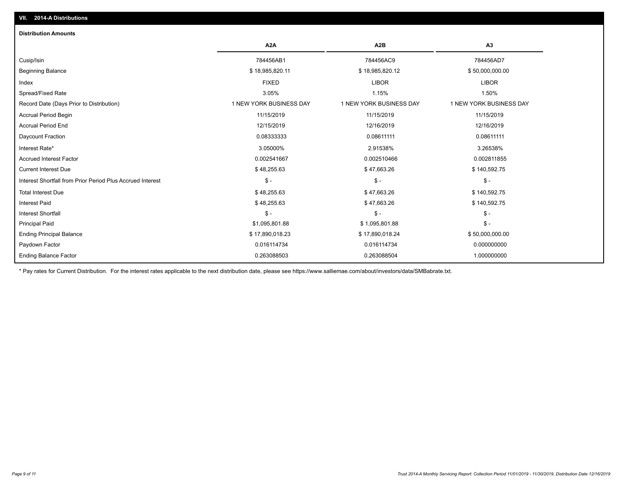# Ending Principal Balance \$ 17,890,018.23 \$ 17,890,018.23 \$ \$17,890,018.24 \$ 50,000,000.00 Principal Paid \$1,095,801.88 \$ 1,095,801.88 \$ - Interest Shortfall \$ - \$ - \$ - Interest Paid \$ 48,255.63 \$ 47,663.26 \$ 140,592.75 Total Interest Due \$ 48,255.63 \$ 47,663.26 \$ 140,592.75 Interest Shortfall from Prior Period Plus Accrued Interest \$ - \$ - \$ - Current Interest Due \$ 48,255.63 \$ 47,663.26 \$ 140,592.75 Accrued Interest Factor 0.002541667 0.002510466 0.002811855 Interest Rate\* 3.05000% 2.91538% 3.26538% Daycount Fraction 0.08333333 0.08611111 0.08611111 Accrual Period End 12/15/2019 12/16/2019 12/16/2019 Accrual Period Begin 11/15/2019 11/15/2019 11/15/2019 Record Date (Days Prior to Distribution) 1 1 NEW YORK BUSINESS DAY 1 NEW YORK BUSINESS DAY 1 NEW YORK BUSINESS DAY Spread/Fixed Rate 3.05% 1.15% 1.50% Index FIXED LIBOR LIBOR Beginning Balance \$ 18,985,820.11 \$ 18,985,820.11 \$ 18,985,820.12 \$ \$50,000,000.00 \$ \$50,000,000.00 Cusip/Isin 784456AB1 784456AC9 784456AD7 **A2A A2B A3 Distribution Amounts VII. 2014-A Distributions**

\* Pay rates for Current Distribution. For the interest rates applicable to the next distribution date, please see https://www.salliemae.com/about/investors/data/SMBabrate.txt.

Paydown Factor 0.016114734 0.016114734 0.000000000

0.263088503 0.263088504 1.000000000

Ending Balance Factor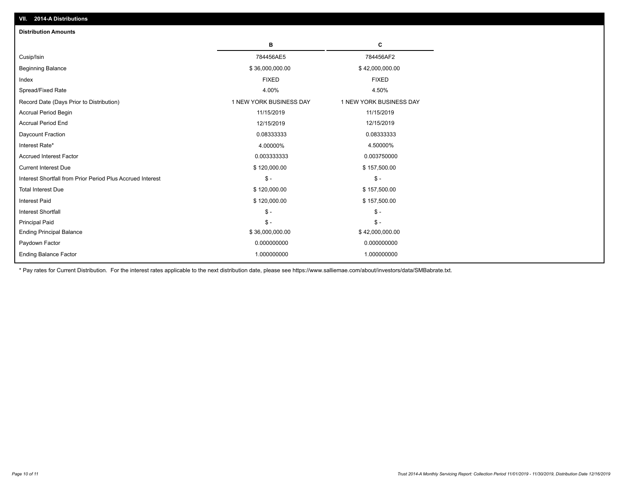| <b>Distribution Amounts</b>                                |                         |                         |
|------------------------------------------------------------|-------------------------|-------------------------|
|                                                            | в                       | C                       |
| Cusip/Isin                                                 | 784456AE5               | 784456AF2               |
| <b>Beginning Balance</b>                                   | \$36,000,000.00         | \$42,000,000.00         |
| Index                                                      | <b>FIXED</b>            | <b>FIXED</b>            |
| Spread/Fixed Rate                                          | 4.00%                   | 4.50%                   |
| Record Date (Days Prior to Distribution)                   | 1 NEW YORK BUSINESS DAY | 1 NEW YORK BUSINESS DAY |
| <b>Accrual Period Begin</b>                                | 11/15/2019              | 11/15/2019              |
| <b>Accrual Period End</b>                                  | 12/15/2019              | 12/15/2019              |
| Daycount Fraction                                          | 0.08333333              | 0.08333333              |
| Interest Rate*                                             | 4.00000%                | 4.50000%                |
| <b>Accrued Interest Factor</b>                             | 0.003333333             | 0.003750000             |
| <b>Current Interest Due</b>                                | \$120,000.00            | \$157,500.00            |
| Interest Shortfall from Prior Period Plus Accrued Interest | $\frac{1}{2}$           | $\mathsf{\$}$ -         |
| <b>Total Interest Due</b>                                  | \$120,000.00            | \$157,500.00            |
| <b>Interest Paid</b>                                       | \$120,000.00            | \$157,500.00            |
| <b>Interest Shortfall</b>                                  | $\mathcal{S}$ -         | $\frac{1}{2}$           |
| <b>Principal Paid</b>                                      | $\mathsf{\$}$ -         | $\mathsf{\$}$ -         |
| <b>Ending Principal Balance</b>                            | \$36,000,000.00         | \$42,000,000.00         |
| Paydown Factor                                             | 0.000000000             | 0.000000000             |
| <b>Ending Balance Factor</b>                               | 1.000000000             | 1.000000000             |

\* Pay rates for Current Distribution. For the interest rates applicable to the next distribution date, please see https://www.salliemae.com/about/investors/data/SMBabrate.txt.

**VII. 2014-A Distributions**